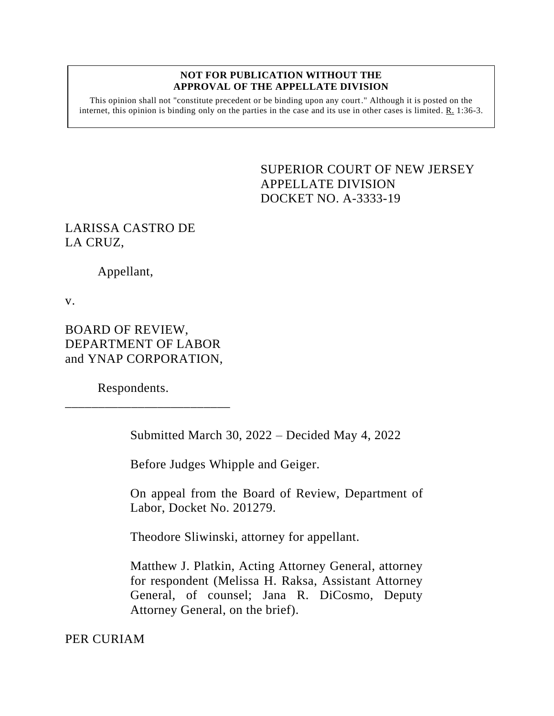## **NOT FOR PUBLICATION WITHOUT THE APPROVAL OF THE APPELLATE DIVISION**

This opinion shall not "constitute precedent or be binding upon any court." Although it is posted on the internet, this opinion is binding only on the parties in the case and its use in other cases is limited. R. 1:36-3.

> <span id="page-0-0"></span>SUPERIOR COURT OF NEW JERSEY APPELLATE DIVISION DOCKET NO. A-3333-19

## LARISSA CASTRO DE LA CRUZ,

Appellant,

v.

BOARD OF REVIEW, DEPARTMENT OF LABOR and YNAP CORPORATION,

\_\_\_\_\_\_\_\_\_\_\_\_\_\_\_\_\_\_\_\_\_\_\_\_\_

Respondents.

Submitted March 30, 2022 – Decided May 4, 2022

Before Judges Whipple and Geiger.

On appeal from the Board of Review, Department of Labor, Docket No. 201279.

Theodore Sliwinski, attorney for appellant.

Matthew J. Platkin, Acting Attorney General, attorney for respondent (Melissa H. Raksa, Assistant Attorney General, of counsel; Jana R. DiCosmo, Deputy Attorney General, on the brief).

PER CURIAM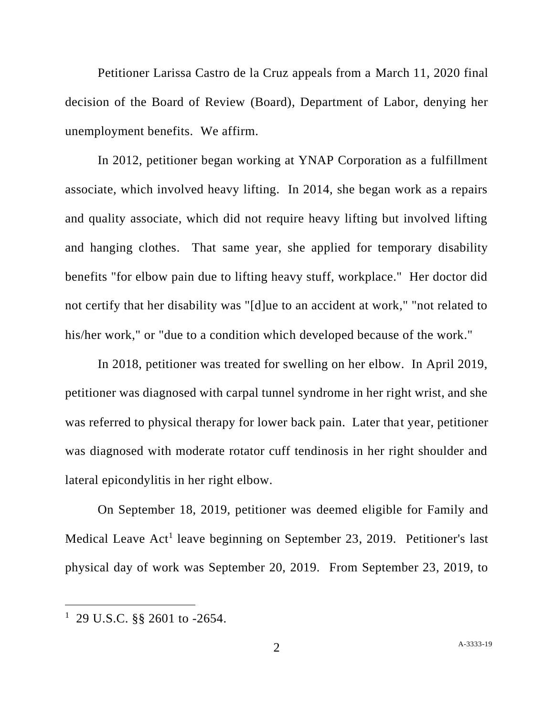Petitioner Larissa Castro de la Cruz appeals from a March 11, 2020 final decision of the Board of Review (Board), Department of Labor, denying her unemployment benefits. We affirm.

In 2012, petitioner began working at YNAP Corporation as a fulfillment associate, which involved heavy lifting. In 2014, she began work as a repairs and quality associate, which did not require heavy lifting but involved lifting and hanging clothes. That same year, she applied for temporary disability benefits "for elbow pain due to lifting heavy stuff, workplace." Her doctor did not certify that her disability was "[d]ue to an accident at work," "not related to his/her work," or "due to a condition which developed because of the work."

In 2018, petitioner was treated for swelling on her elbow. In April 2019, petitioner was diagnosed with carpal tunnel syndrome in her right wrist, and she was referred to physical therapy for lower back pain. Later that year, petitioner was diagnosed with moderate rotator cuff tendinosis in her right shoulder and lateral epicondylitis in her right elbow.

On September 18, 2019, petitioner was deemed eligible for Family and Medical Leave Act<sup>1</sup> leave beginning on September 23, 2019. Petitioner's last physical day of work was September 20, 2019. From September 23, 2019, to

<sup>1</sup> 29 U.S.C. §§ 2601 to -2654.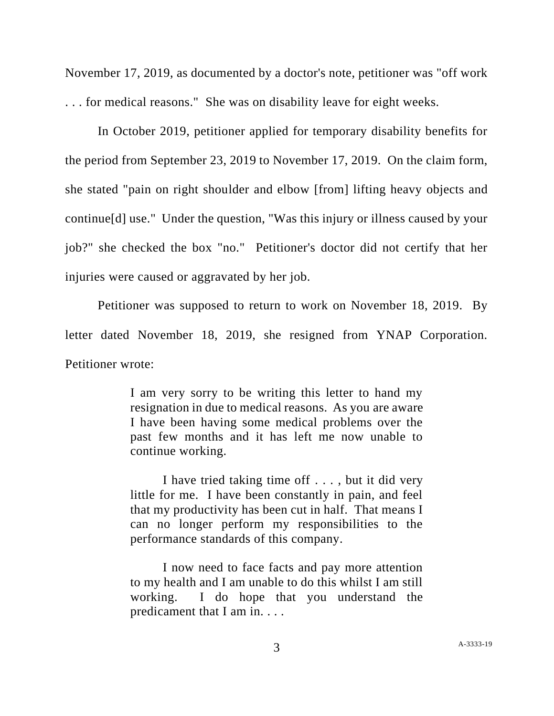November 17, 2019, as documented by a doctor's note, petitioner was "off work . . . for medical reasons." She was on disability leave for eight weeks.

In October 2019, petitioner applied for temporary disability benefits for the period from September 23, 2019 to November 17, 2019. On the claim form, she stated "pain on right shoulder and elbow [from] lifting heavy objects and continue[d] use." Under the question, "Was this injury or illness caused by your job?" she checked the box "no." Petitioner's doctor did not certify that her injuries were caused or aggravated by her job.

Petitioner was supposed to return to work on November 18, 2019. By letter dated November 18, 2019, she resigned from YNAP Corporation. Petitioner wrote:

> I am very sorry to be writing this letter to hand my resignation in due to medical reasons. As you are aware I have been having some medical problems over the past few months and it has left me now unable to continue working.

> I have tried taking time off . . . , but it did very little for me. I have been constantly in pain, and feel that my productivity has been cut in half. That means I can no longer perform my responsibilities to the performance standards of this company.

> I now need to face facts and pay more attention to my health and I am unable to do this whilst I am still working. I do hope that you understand the predicament that I am in. . . .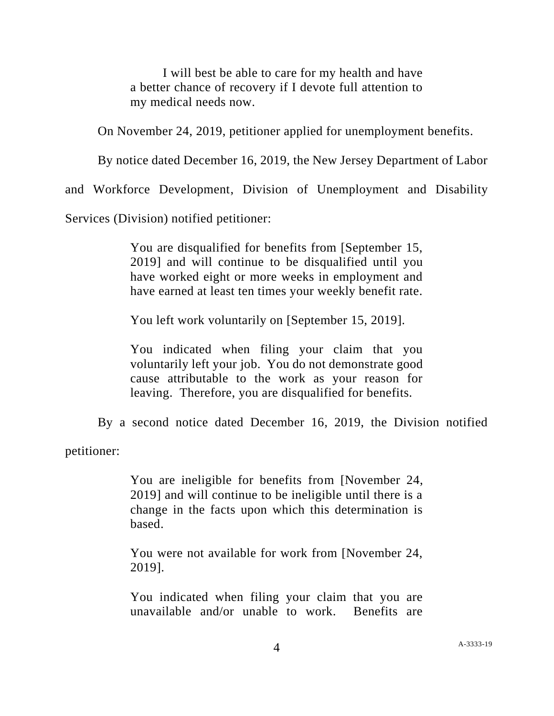I will best be able to care for my health and have a better chance of recovery if I devote full attention to my medical needs now.

On November 24, 2019, petitioner applied for unemployment benefits.

By notice dated December 16, 2019, the New Jersey Department of Labor

and Workforce Development, Division of Unemployment and Disability

Services (Division) notified petitioner:

You are disqualified for benefits from [September 15, 2019] and will continue to be disqualified until you have worked eight or more weeks in employment and have earned at least ten times your weekly benefit rate.

You left work voluntarily on [September 15, 2019].

You indicated when filing your claim that you voluntarily left your job. You do not demonstrate good cause attributable to the work as your reason for leaving. Therefore, you are disqualified for benefits.

By a second notice dated December 16, 2019, the Division notified

petitioner:

You are ineligible for benefits from [November 24, 2019] and will continue to be ineligible until there is a change in the facts upon which this determination is based.

You were not available for work from [November 24, 2019].

You indicated when filing your claim that you are unavailable and/or unable to work. Benefits are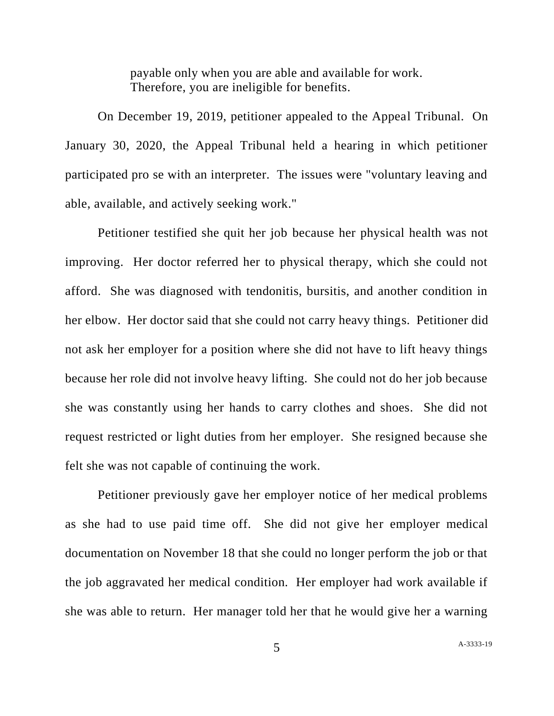payable only when you are able and available for work. Therefore, you are ineligible for benefits.

On December 19, 2019, petitioner appealed to the Appeal Tribunal. On January 30, 2020, the Appeal Tribunal held a hearing in which petitioner participated pro se with an interpreter. The issues were "voluntary leaving and able, available, and actively seeking work."

Petitioner testified she quit her job because her physical health was not improving. Her doctor referred her to physical therapy, which she could not afford. She was diagnosed with tendonitis, bursitis, and another condition in her elbow. Her doctor said that she could not carry heavy things. Petitioner did not ask her employer for a position where she did not have to lift heavy things because her role did not involve heavy lifting. She could not do her job because she was constantly using her hands to carry clothes and shoes. She did not request restricted or light duties from her employer. She resigned because she felt she was not capable of continuing the work.

Petitioner previously gave her employer notice of her medical problems as she had to use paid time off. She did not give her employer medical documentation on November 18 that she could no longer perform the job or that the job aggravated her medical condition. Her employer had work available if she was able to return. Her manager told her that he would give her a warning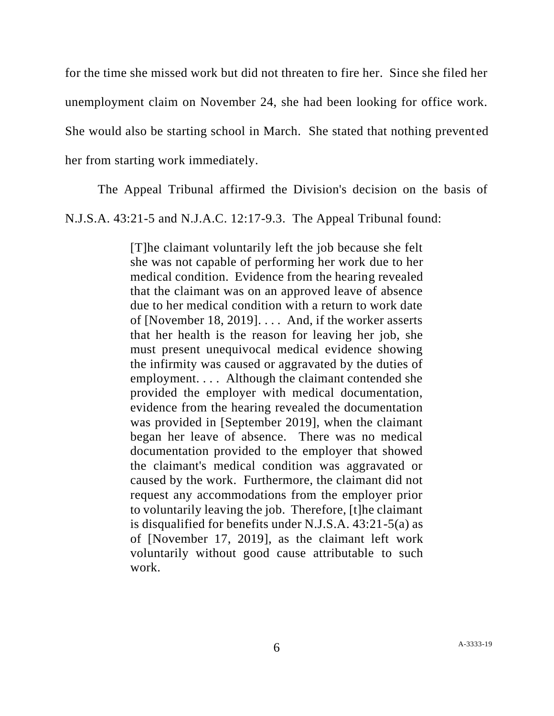for the time she missed work but did not threaten to fire her. Since she filed her unemployment claim on November 24, she had been looking for office work. She would also be starting school in March. She stated that nothing prevented her from starting work immediately.

The Appeal Tribunal affirmed the Division's decision on the basis of

N.J.S.A. 43:21-5 and N.J.A.C. 12:17-9.3. The Appeal Tribunal found:

[T]he claimant voluntarily left the job because she felt she was not capable of performing her work due to her medical condition. Evidence from the hearing revealed that the claimant was on an approved leave of absence due to her medical condition with a return to work date of [November 18, 2019]. . . . And, if the worker asserts that her health is the reason for leaving her job, she must present unequivocal medical evidence showing the infirmity was caused or aggravated by the duties of employment. . . . Although the claimant contended she provided the employer with medical documentation, evidence from the hearing revealed the documentation was provided in [September 2019], when the claimant began her leave of absence. There was no medical documentation provided to the employer that showed the claimant's medical condition was aggravated or caused by the work. Furthermore, the claimant did not request any accommodations from the employer prior to voluntarily leaving the job. Therefore, [t]he claimant is disqualified for benefits under N.J.S.A. 43:21-5(a) as of [November 17, 2019], as the claimant left work voluntarily without good cause attributable to such work.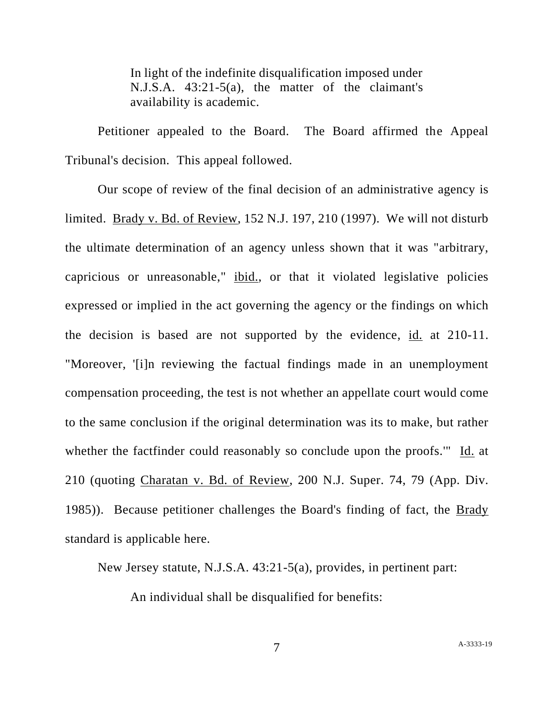In light of the indefinite disqualification imposed under N.J.S.A. 43:21-5(a), the matter of the claimant's availability is academic.

Petitioner appealed to the Board. The Board affirmed the Appeal Tribunal's decision. This appeal followed.

Our scope of review of the final decision of an administrative agency is limited. Brady v. Bd. of Review, 152 N.J. 197, 210 (1997). We will not disturb the ultimate determination of an agency unless shown that it was "arbitrary, capricious or unreasonable," ibid., or that it violated legislative policies expressed or implied in the act governing the agency or the findings on which the decision is based are not supported by the evidence, id. at 210-11. "Moreover, '[i]n reviewing the factual findings made in an unemployment compensation proceeding, the test is not whether an appellate court would come to the same conclusion if the original determination was its to make, but rather whether the factfinder could reasonably so conclude upon the proofs." Id. at 210 (quoting Charatan v. Bd. of Review, 200 N.J. Super. 74, 79 (App. Div. 1985)). Because petitioner challenges the Board's finding of fact, the Brady standard is applicable here.

New Jersey statute, N.J.S.A. 43:21-5(a), provides, in pertinent part:

An individual shall be disqualified for benefits:

7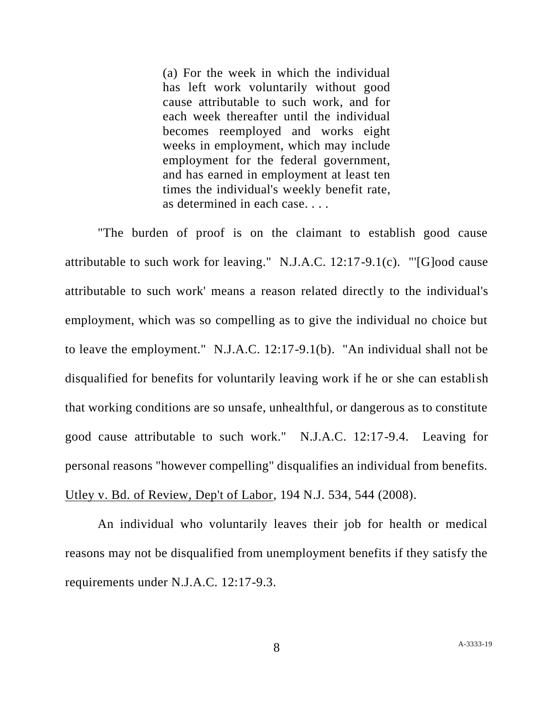(a) For the week in which the individual has left work voluntarily without good cause attributable to such work, and for each week thereafter until the individual becomes reemployed and works eight weeks in employment, which may include employment for the federal government, and has earned in employment at least ten times the individual's weekly benefit rate, as determined in each case. . . .

"The burden of proof is on the claimant to establish good cause attributable to such work for leaving." N.J.A.C. 12:17-9.1(c). "'[G]ood cause attributable to such work' means a reason related directly to the individual's employment, which was so compelling as to give the individual no choice but to leave the employment." N.J.A.C. 12:17-9.1(b). "An individual shall not be disqualified for benefits for voluntarily leaving work if he or she can establish that working conditions are so unsafe, unhealthful, or dangerous as to constitute good cause attributable to such work." N.J.A.C. 12:17-9.4. Leaving for personal reasons "however compelling" disqualifies an individual from benefits. Utley v. Bd. of Review, Dep't of Labor, 194 N.J. 534, 544 (2008).

An individual who voluntarily leaves their job for health or medical reasons may not be disqualified from unemployment benefits if they satisfy the requirements under N.J.A.C. 12:17-9.3.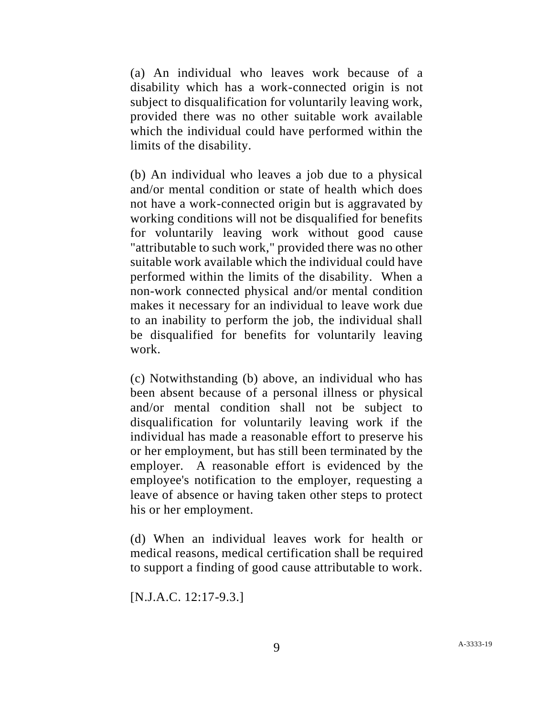(a) An individual who leaves work because of a disability which has a work-connected origin is not subject to disqualification for voluntarily leaving work, provided there was no other suitable work available which the individual could have performed within the limits of the disability.

(b) An individual who leaves a job due to a physical and/or mental condition or state of health which does not have a work-connected origin but is aggravated by working conditions will not be disqualified for benefits for voluntarily leaving work without good cause "attributable to such work," provided there was no other suitable work available which the individual could have performed within the limits of the disability. When a non-work connected physical and/or mental condition makes it necessary for an individual to leave work due to an inability to perform the job, the individual shall be disqualified for benefits for voluntarily leaving work.

(c) Notwithstanding (b) above, an individual who has been absent because of a personal illness or physical and/or mental condition shall not be subject to disqualification for voluntarily leaving work if the individual has made a reasonable effort to preserve his or her employment, but has still been terminated by the employer. A reasonable effort is evidenced by the employee's notification to the employer, requesting a leave of absence or having taken other steps to protect his or her employment.

(d) When an individual leaves work for health or medical reasons, medical certification shall be required to support a finding of good cause attributable to work.

[N.J.A.C. 12:17-9.3.]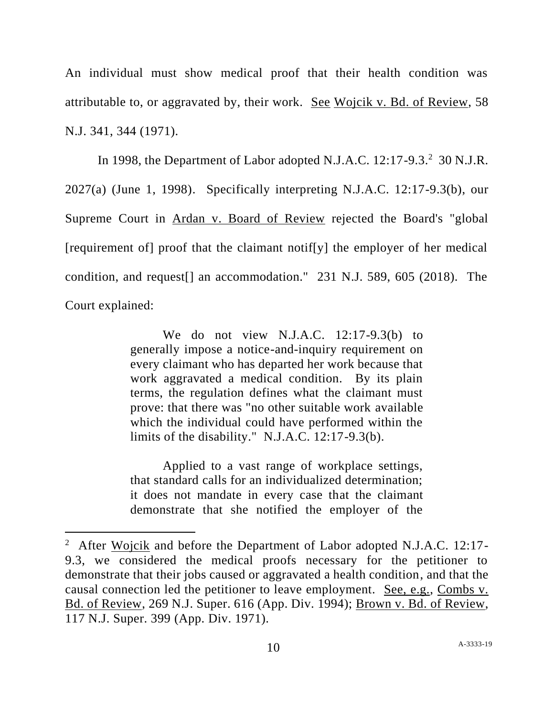An individual must show medical proof that their health condition was attributable to, or aggravated by, their work. See Wojcik v. Bd. of Review, 58 N.J. 341, 344 (1971).

In 1998, the Department of Labor adopted N.J.A.C.  $12:17-9.3.^2$  30 N.J.R. 2027(a) (June 1, 1998). Specifically interpreting N.J.A.C. 12:17-9.3(b), our Supreme Court in Ardan v. Board of Review rejected the Board's "global [requirement of] proof that the claimant notif[y] the employer of her medical condition, and request[] an accommodation." 231 N.J. 589, 605 (2018). The Court explained:

> We do not view N.J.A.C. 12:17-9.3(b) to generally impose a notice-and-inquiry requirement on every claimant who has departed her work because that work aggravated a medical condition. By its plain terms, the regulation defines what the claimant must prove: that there was "no other suitable work available which the individual could have performed within the limits of the disability." N.J.A.C. 12:17-9.3(b).

> Applied to a vast range of workplace settings, that standard calls for an individualized determination; it does not mandate in every case that the claimant demonstrate that she notified the employer of the

<sup>&</sup>lt;sup>2</sup> After Wojcik and before the Department of Labor adopted N.J.A.C. 12:17-9.3, we considered the medical proofs necessary for the petitioner to demonstrate that their jobs caused or aggravated a health condition, and that the causal connection led the petitioner to leave employment. See, e.g., Combs v. Bd. of Review, 269 N.J. Super. 616 (App. Div. 1994); Brown v. Bd. of Review, 117 N.J. Super. 399 (App. Div. 1971).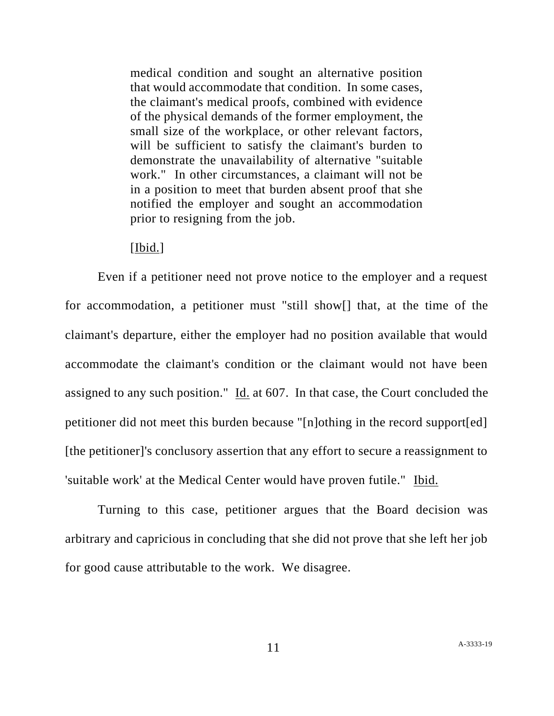medical condition and sought an alternative position that would accommodate that condition. In some cases, the claimant's medical proofs, combined with evidence of the physical demands of the former employment, the small size of the workplace, or other relevant factors, will be sufficient to satisfy the claimant's burden to demonstrate the unavailability of alternative "suitable work." In other circumstances, a claimant will not be in a position to meet that burden absent proof that she notified the employer and sought an accommodation prior to resigning from the job.

## [Ibid.]

Even if a petitioner need not prove notice to the employer and a request for accommodation, a petitioner must "still show[] that, at the time of the claimant's departure, either the employer had no position available that would accommodate the claimant's condition or the claimant would not have been assigned to any such position." Id. at 607. In that case, the Court concluded the petitioner did not meet this burden because "[n]othing in the record support[ed] [the petitioner]'s conclusory assertion that any effort to secure a reassignment to 'suitable work' at the Medical Center would have proven futile." Ibid.

Turning to this case, petitioner argues that the Board decision was arbitrary and capricious in concluding that she did not prove that she left her job for good cause attributable to the work. We disagree.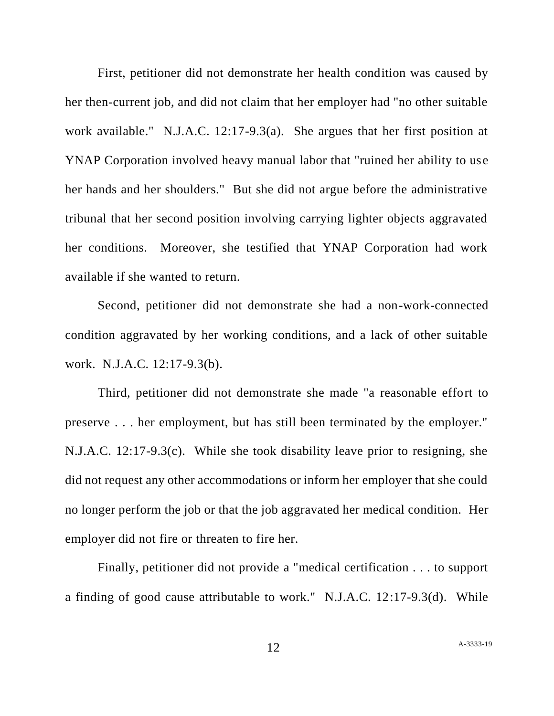First, petitioner did not demonstrate her health condition was caused by her then-current job, and did not claim that her employer had "no other suitable work available." N.J.A.C. 12:17-9.3(a). She argues that her first position at YNAP Corporation involved heavy manual labor that "ruined her ability to use her hands and her shoulders." But she did not argue before the administrative tribunal that her second position involving carrying lighter objects aggravated her conditions. Moreover, she testified that YNAP Corporation had work available if she wanted to return.

Second, petitioner did not demonstrate she had a non-work-connected condition aggravated by her working conditions, and a lack of other suitable work. N.J.A.C. 12:17-9.3(b).

Third, petitioner did not demonstrate she made "a reasonable effort to preserve . . . her employment, but has still been terminated by the employer." N.J.A.C. 12:17-9.3(c). While she took disability leave prior to resigning, she did not request any other accommodations or inform her employer that she could no longer perform the job or that the job aggravated her medical condition. Her employer did not fire or threaten to fire her.

Finally, petitioner did not provide a "medical certification . . . to support a finding of good cause attributable to work." N.J.A.C. 12:17-9.3(d). While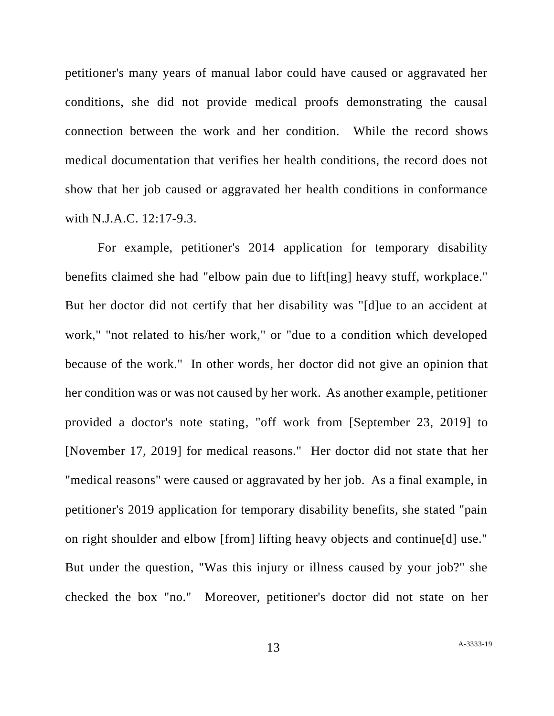petitioner's many years of manual labor could have caused or aggravated her conditions, she did not provide medical proofs demonstrating the causal connection between the work and her condition. While the record shows medical documentation that verifies her health conditions, the record does not show that her job caused or aggravated her health conditions in conformance with N.J.A.C. 12:17-9.3.

For example, petitioner's 2014 application for temporary disability benefits claimed she had "elbow pain due to lift[ing] heavy stuff, workplace." But her doctor did not certify that her disability was "[d]ue to an accident at work," "not related to his/her work," or "due to a condition which developed because of the work." In other words, her doctor did not give an opinion that her condition was or was not caused by her work. As another example, petitioner provided a doctor's note stating, "off work from [September 23, 2019] to [November 17, 2019] for medical reasons." Her doctor did not state that her "medical reasons" were caused or aggravated by her job. As a final example, in petitioner's 2019 application for temporary disability benefits, she stated "pain on right shoulder and elbow [from] lifting heavy objects and continue[d] use." But under the question, "Was this injury or illness caused by your job?" she checked the box "no." Moreover, petitioner's doctor did not state on her